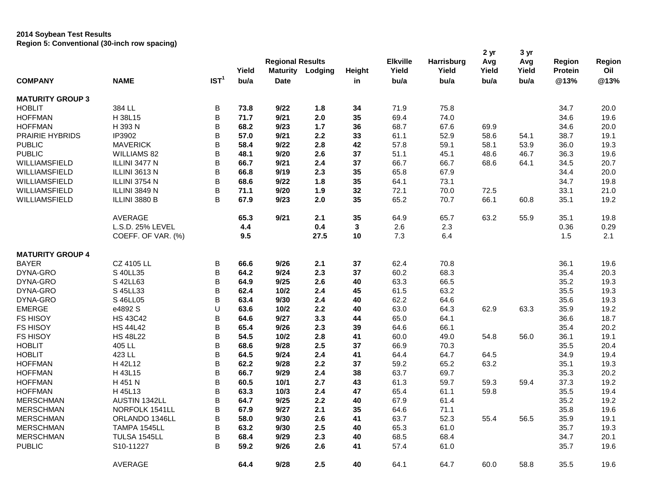## **2014 Soybean Test Results Region 5: Conventional (30-inch row spacing)**

| <b>COMPANY</b>          | <b>NAME</b>        | IST <sup>1</sup> | Yield<br>bu/a | <b>Regional Results</b><br><b>Maturity</b><br><b>Date</b> | Lodging | Height<br>in | <b>Elkville</b><br>Yield<br>bu/a | <b>Harrisburg</b><br>Yield<br>bu/a | 2 yr<br>Avg<br>Yield<br>bu/a | 3 yr<br>Avg<br>Yield<br>bu/a | Region<br>Protein<br>@13% | Region<br>Oil<br>@13% |
|-------------------------|--------------------|------------------|---------------|-----------------------------------------------------------|---------|--------------|----------------------------------|------------------------------------|------------------------------|------------------------------|---------------------------|-----------------------|
|                         |                    |                  |               |                                                           |         |              |                                  |                                    |                              |                              |                           |                       |
| <b>MATURITY GROUP 3</b> |                    |                  |               |                                                           |         |              |                                  |                                    |                              |                              |                           |                       |
| <b>HOBLIT</b>           | 384 LL             | $\sf B$          | 73.8          | 9/22                                                      | 1.8     | 34           | 71.9                             | 75.8                               |                              |                              | 34.7                      | 20.0                  |
| <b>HOFFMAN</b>          | H 38L15            | B                | 71.7          | 9/21                                                      | 2.0     | 35           | 69.4                             | 74.0                               |                              |                              | 34.6                      | 19.6                  |
| <b>HOFFMAN</b>          | H 393 N            | B                | 68.2          | 9/23                                                      | 1.7     | 36           | 68.7                             | 67.6                               | 69.9                         |                              | 34.6                      | 20.0                  |
| <b>PRAIRIE HYBRIDS</b>  | IP3902             | B                | 57.0          | 9/21                                                      | 2.2     | 33           | 61.1                             | 52.9                               | 58.6                         | 54.1                         | 38.7                      | 19.1                  |
| <b>PUBLIC</b>           | <b>MAVERICK</b>    | B                | 58.4          | 9/22                                                      | 2.8     | 42           | 57.8                             | 59.1                               | 58.1                         | 53.9                         | 36.0                      | 19.3                  |
| <b>PUBLIC</b>           | <b>WILLIAMS 82</b> | B                | 48.1          | 9/20                                                      | 2.6     | 37           | 51.1                             | 45.1                               | 48.6                         | 46.7                         | 36.3                      | 19.6                  |
| WILLIAMSFIELD           | ILLINI 3477 N      | B                | 66.7          | 9/21                                                      | 2.4     | 37           | 66.7                             | 66.7                               | 68.6                         | 64.1                         | 34.5                      | 20.7                  |
| WILLIAMSFIELD           | ILLINI 3613 N      | B                | 66.8          | 9/19                                                      | 2.3     | 35           | 65.8                             | 67.9                               |                              |                              | 34.4                      | 20.0                  |
| WILLIAMSFIELD           | ILLINI 3754 N      | B                | 68.6          | 9/22                                                      | 1.8     | 35           | 64.1                             | 73.1                               |                              |                              | 34.7                      | 19.8                  |
| WILLIAMSFIELD           | ILLINI 3849 N      | B                | 71.1          | 9/20                                                      | 1.9     | 32           | 72.1                             | 70.0                               | 72.5                         |                              | 33.1                      | 21.0                  |
| WILLIAMSFIELD           | ILLINI 3880 B      | B                | 67.9          | 9/23                                                      | 2.0     | 35           | 65.2                             | 70.7                               | 66.1                         | 60.8                         | 35.1                      | 19.2                  |
|                         | AVERAGE            |                  | 65.3          | 9/21                                                      | 2.1     | 35           | 64.9                             | 65.7                               | 63.2                         | 55.9                         | 35.1                      | 19.8                  |
|                         | L.S.D. 25% LEVEL   |                  | 4.4           |                                                           | 0.4     | $\mathbf{3}$ | 2.6                              | 2.3                                |                              |                              | 0.36                      | 0.29                  |
|                         | COEFF. OF VAR. (%) |                  | 9.5           |                                                           | 27.5    | 10           | 7.3                              | 6.4                                |                              |                              | 1.5                       | 2.1                   |
| <b>MATURITY GROUP 4</b> |                    |                  |               |                                                           |         |              |                                  |                                    |                              |                              |                           |                       |
| <b>BAYER</b>            | CZ 4105 LL         | B                | 66.6          | 9/26                                                      | 2.1     | 37           | 62.4                             | 70.8                               |                              |                              | 36.1                      | 19.6                  |
| DYNA-GRO                | S 40LL35           | B                | 64.2          | 9/24                                                      | 2.3     | 37           | 60.2                             | 68.3                               |                              |                              | 35.4                      | 20.3                  |
| DYNA-GRO                | S 42LL63           | B                | 64.9          | 9/25                                                      | 2.6     | 40           | 63.3                             | 66.5                               |                              |                              | 35.2                      | 19.3                  |
| DYNA-GRO                | S 45LL33           | B                | 62.4          | 10/2                                                      | 2.4     | 45           | 61.5                             | 63.2                               |                              |                              | 35.5                      | 19.3                  |
| DYNA-GRO                | S 46LL05           | B                | 63.4          | 9/30                                                      | 2.4     | 40           | 62.2                             | 64.6                               |                              |                              | 35.6                      | 19.3                  |
| <b>EMERGE</b>           | e4892 S            | U                | 63.6          | 10/2                                                      | 2.2     | 40           | 63.0                             | 64.3                               | 62.9                         | 63.3                         | 35.9                      | 19.2                  |
| <b>FS HISOY</b>         | <b>HS 43C42</b>    | B                | 64.6          | 9/27                                                      | 3.3     | 44           | 65.0                             | 64.1                               |                              |                              | 36.6                      | 18.7                  |
| <b>FS HISOY</b>         | <b>HS 44L42</b>    | B                | 65.4          | 9/26                                                      | 2.3     | 39           | 64.6                             | 66.1                               |                              |                              | 35.4                      | 20.2                  |
| <b>FS HISOY</b>         | <b>HS 48L22</b>    | B                | 54.5          | 10/2                                                      | 2.8     | 41           | 60.0                             | 49.0                               | 54.8                         | 56.0                         | 36.1                      | 19.1                  |
| <b>HOBLIT</b>           | 405 LL             | B                | 68.6          | 9/28                                                      | 2.5     | 37           | 66.9                             | 70.3                               |                              |                              | 35.5                      | 20.4                  |
| <b>HOBLIT</b>           | 423 LL             | B                | 64.5          | 9/24                                                      | 2.4     | 41           | 64.4                             | 64.7                               | 64.5                         |                              | 34.9                      | 19.4                  |
| <b>HOFFMAN</b>          | H 42L12            | B                | 62.2          | 9/28                                                      | 2.2     | 37           | 59.2                             | 65.2                               | 63.2                         |                              | 35.1                      | 19.3                  |
| <b>HOFFMAN</b>          | H 43L15            | B                | 66.7          | 9/29                                                      | 2.4     | 38           | 63.7                             | 69.7                               |                              |                              | 35.3                      | 20.2                  |
| <b>HOFFMAN</b>          | H 451 N            | B                | 60.5          | 10/1                                                      | 2.7     | 43           | 61.3                             | 59.7                               | 59.3                         | 59.4                         | 37.3                      | 19.2                  |
| <b>HOFFMAN</b>          | H 45L13            | B                | 63.3          | 10/3                                                      | 2.4     | 47           | 65.4                             | 61.1                               | 59.8                         |                              | 35.5                      | 19.4                  |
| <b>MERSCHMAN</b>        | AUSTIN 1342LL      | B                | 64.7          | 9/25                                                      | 2.2     | 40           | 67.9                             | 61.4                               |                              |                              | 35.2                      | 19.2                  |
| <b>MERSCHMAN</b>        | NORFOLK 1541LL     | B                | 67.9          | 9/27                                                      | 2.1     | 35           | 64.6                             | 71.1                               |                              |                              | 35.8                      | 19.6                  |
| <b>MERSCHMAN</b>        | ORLANDO 1346LL     | B                | 58.0          | 9/30                                                      | 2.6     | 41           | 63.7                             | 52.3                               | 55.4                         | 56.5                         | 35.9                      | 19.1                  |
| <b>MERSCHMAN</b>        | TAMPA 1545LL       | B                | 63.2          | 9/30                                                      | 2.5     | 40           | 65.3                             | 61.0                               |                              |                              | 35.7                      | 19.3                  |
| <b>MERSCHMAN</b>        | TULSA 1545LL       | B                | 68.4          | 9/29                                                      | 2.3     | 40           | 68.5                             | 68.4                               |                              |                              | 34.7                      | 20.1                  |
| <b>PUBLIC</b>           | S10-11227          | B                | 59.2          | 9/26                                                      | 2.6     | 41           | 57.4                             | 61.0                               |                              |                              | 35.7                      | 19.6                  |
|                         | <b>AVERAGE</b>     |                  | 64.4          | 9/28                                                      | 2.5     | 40           | 64.1                             | 64.7                               | 60.0                         | 58.8                         | 35.5                      | 19.6                  |